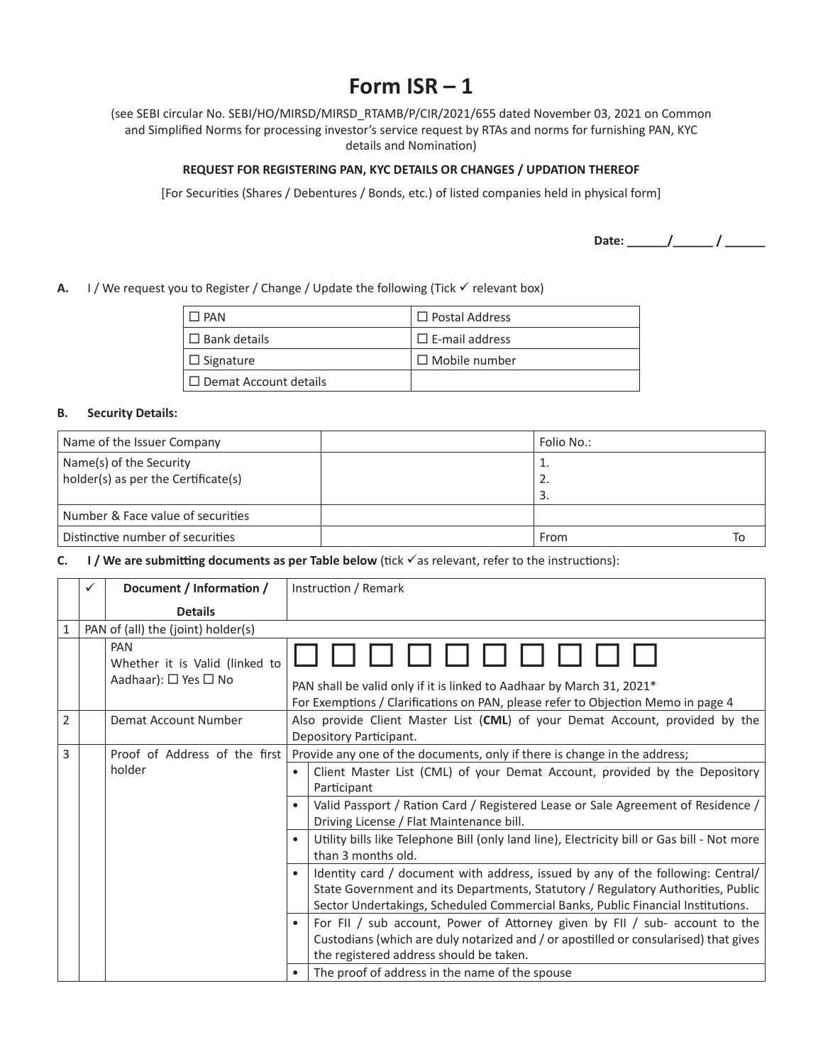# **Form ISR – 1**

(see SEBI circular No. SEBI/HO/MIRSD/MIRSD\_RTAMB/P/CIR/2021/655 dated November 03, 2021 on Common and Simplified Norms for processing investor's service request by RTAs and norms for furnishing PAN, KYC details and Nomination)

## **REQUEST FOR REGISTERING PAN, KYC DETAILS OR CHANGES / UPDATION THEREOF**

[For Securities (Shares / Debentures / Bonds, etc.) of listed companies held in physical form]

**Date: \_\_\_\_\_\_/\_\_\_\_\_\_ / \_\_\_\_\_\_**

**A.** I / We request you to Register / Change / Update the following (Tick  $\checkmark$  relevant box)

| 1 PAN                        | $\Box$ Postal Address |
|------------------------------|-----------------------|
| $\Box$ Bank details          | $\Box$ E-mail address |
| $\Box$ Signature             | $\Box$ Mobile number  |
| $\Box$ Demat Account details |                       |

#### **B. Security Details:**

| Name of the Issuer Company                                     | Folio No.:     |  |
|----------------------------------------------------------------|----------------|--|
| Name(s) of the Security<br>holder(s) as per the Certificate(s) | ⊥.<br>z.<br>3. |  |
| Number & Face value of securities                              |                |  |
| Distinctive number of securities                               | From<br>١c     |  |

**C. I** / We are submitting documents as per Table below (tick  $\checkmark$  as relevant, refer to the instructions):

|   | $\checkmark$ | Document / Information /                                      | Instruction / Remark                                                                                                                                                                                                                                   |  |  |
|---|--------------|---------------------------------------------------------------|--------------------------------------------------------------------------------------------------------------------------------------------------------------------------------------------------------------------------------------------------------|--|--|
|   |              | <b>Details</b>                                                |                                                                                                                                                                                                                                                        |  |  |
| 1 |              | PAN of (all) the (joint) holder(s)                            |                                                                                                                                                                                                                                                        |  |  |
|   |              | PAN<br>Whether it is Valid (linked to<br>Aadhaar): □ Yes □ No | PAN shall be valid only if it is linked to Aadhaar by March 31, 2021*<br>For Exemptions / Clarifications on PAN, please refer to Objection Memo in page 4                                                                                              |  |  |
| 2 |              | Demat Account Number                                          | Also provide Client Master List (CML) of your Demat Account, provided by the<br>Depository Participant.                                                                                                                                                |  |  |
| 3 |              | Proof of Address of the first                                 | Provide any one of the documents, only if there is change in the address;                                                                                                                                                                              |  |  |
|   |              | holder<br>$\bullet$                                           | Client Master List (CML) of your Demat Account, provided by the Depository<br>Participant                                                                                                                                                              |  |  |
|   |              |                                                               | Valid Passport / Ration Card / Registered Lease or Sale Agreement of Residence /<br>Driving License / Flat Maintenance bill.                                                                                                                           |  |  |
|   |              |                                                               | Utility bills like Telephone Bill (only land line), Electricity bill or Gas bill - Not more<br>than 3 months old.                                                                                                                                      |  |  |
|   |              |                                                               | Identity card / document with address, issued by any of the following: Central/<br>State Government and its Departments, Statutory / Regulatory Authorities, Public<br>Sector Undertakings, Scheduled Commercial Banks, Public Financial Institutions. |  |  |
|   |              |                                                               | For FII / sub account, Power of Attorney given by FII / sub- account to the<br>Custodians (which are duly notarized and / or apostilled or consularised) that gives<br>the registered address should be taken.                                         |  |  |
|   |              |                                                               | The proof of address in the name of the spouse                                                                                                                                                                                                         |  |  |